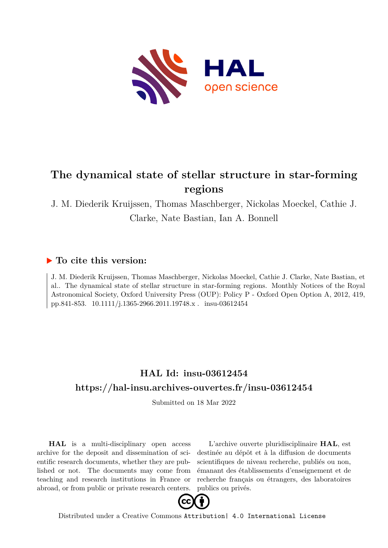

# **The dynamical state of stellar structure in star-forming regions**

J. M. Diederik Kruijssen, Thomas Maschberger, Nickolas Moeckel, Cathie J. Clarke, Nate Bastian, Ian A. Bonnell

# **To cite this version:**

J. M. Diederik Kruijssen, Thomas Maschberger, Nickolas Moeckel, Cathie J. Clarke, Nate Bastian, et al.. The dynamical state of stellar structure in star-forming regions. Monthly Notices of the Royal Astronomical Society, Oxford University Press (OUP): Policy P - Oxford Open Option A, 2012, 419, pp.841-853. 10.1111/j.1365-2966.2011.19748.x. insu-03612454

# **HAL Id: insu-03612454 <https://hal-insu.archives-ouvertes.fr/insu-03612454>**

Submitted on 18 Mar 2022

**HAL** is a multi-disciplinary open access archive for the deposit and dissemination of scientific research documents, whether they are published or not. The documents may come from teaching and research institutions in France or abroad, or from public or private research centers.

L'archive ouverte pluridisciplinaire **HAL**, est destinée au dépôt et à la diffusion de documents scientifiques de niveau recherche, publiés ou non, émanant des établissements d'enseignement et de recherche français ou étrangers, des laboratoires publics ou privés.



Distributed under a Creative Commons [Attribution| 4.0 International License](http://creativecommons.org/licenses/by/4.0/)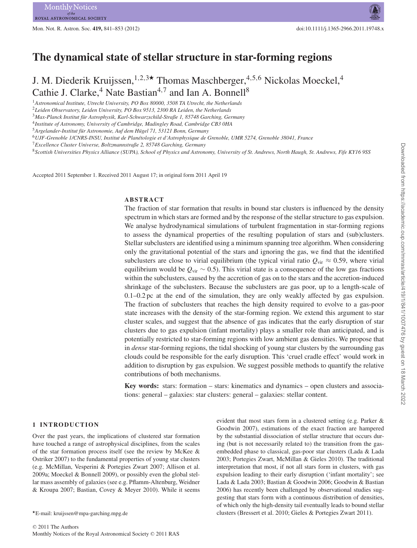# **The dynamical state of stellar structure in star-forming regions**

J. M. Diederik Kruijssen,<sup>1,2,3\*</sup> Thomas Maschberger,<sup>4,5,6</sup> Nickolas Moeckel,<sup>4</sup> Cathie J. Clarke,<sup>4</sup> Nate Bastian<sup>4,7</sup> and Ian A. Bonnell<sup>8</sup>

<sup>1</sup>*Astronomical Institute, Utrecht University, PO Box 80000, 3508 TA Utrecht, the Netherlands*

<sup>2</sup>*Leiden Observatory, Leiden University, PO Box 9513, 2300 RA Leiden, the Netherlands*

<sup>3</sup>*Max-Planck Institut fur Astrophysik, Karl-Schwarzschild-Straße 1, 85748 Garching, Germany ¨*

<sup>6</sup>*UJF-Grenoble 1/CNRS-INSU, Institut de Planetologie et d'Astrophysique de Grenoble, UMR 5274, Grenoble 38041, France ´*

<sup>7</sup>*Excellence Cluster Universe, Boltzmannstraße 2, 85748 Garching, Germany*

<sup>8</sup>*Scottish Universities Physics Alliance (SUPA), School of Physics and Astronomy, University of St. Andrews, North Haugh, St. Andrews, Fife KY16 9SS*

Accepted 2011 September 1. Received 2011 August 17; in original form 2011 April 19

### **ABSTRACT**

The fraction of star formation that results in bound star clusters is influenced by the density spectrum in which stars are formed and by the response of the stellar structure to gas expulsion. We analyse hydrodynamical simulations of turbulent fragmentation in star-forming regions to assess the dynamical properties of the resulting population of stars and (sub)clusters. Stellar subclusters are identified using a minimum spanning tree algorithm. When considering only the gravitational potential of the stars and ignoring the gas, we find that the identified subclusters are close to virial equilibrium (the typical virial ratio  $Q_{\rm vir} \approx 0.59$ , where virial equilibrium would be *Q*vir ∼ 0.5). This virial state is a consequence of the low gas fractions within the subclusters, caused by the accretion of gas on to the stars and the accretion-induced shrinkage of the subclusters. Because the subclusters are gas poor, up to a length-scale of 0.1–0.2 pc at the end of the simulation, they are only weakly affected by gas expulsion. The fraction of subclusters that reaches the high density required to evolve to a gas-poor state increases with the density of the star-forming region. We extend this argument to star cluster scales, and suggest that the absence of gas indicates that the early disruption of star clusters due to gas expulsion (infant mortality) plays a smaller role than anticipated, and is potentially restricted to star-forming regions with low ambient gas densities. We propose that in *dense* star-forming regions, the tidal shocking of young star clusters by the surrounding gas clouds could be responsible for the early disruption. This 'cruel cradle effect' would work in addition to disruption by gas expulsion. We suggest possible methods to quantify the relative contributions of both mechanisms.

**Key words:** stars: formation – stars: kinematics and dynamics – open clusters and associations: general – galaxies: star clusters: general – galaxies: stellar content.

#### **1 INTRODUCTION**

Over the past years, the implications of clustered star formation have touched a range of astrophysical disciplines, from the scales of the star formation process itself (see the review by McKee & Ostriker 2007) to the fundamental properties of young star clusters (e.g. McMillan, Vesperini & Portegies Zwart 2007; Allison et al. 2009a; Moeckel & Bonnell 2009), or possibly even the global stellar mass assembly of galaxies (see e.g. Pflamm-Altenburg, Weidner & Kroupa 2007; Bastian, Covey & Meyer 2010). While it seems evident that most stars form in a clustered setting (e.g. Parker & Goodwin 2007), estimations of the exact fraction are hampered by the substantial dissociation of stellar structure that occurs during (but is not necessarily related to) the transition from the gasembedded phase to classical, gas-poor star clusters (Lada & Lada 2003; Portegies Zwart, McMillan & Gieles 2010). The traditional interpretation that most, if not all stars form in clusters, with gas expulsion leading to their early disruption ('infant mortality'; see Lada & Lada 2003; Bastian & Goodwin 2006; Goodwin & Bastian 2006) has recently been challenged by observational studies suggesting that stars form with a continuous distribution of densities, of which only the high-density tail eventually leads to bound stellar clusters (Bressert et al. 2010; Gieles & Portegies Zwart 2011).

<sup>4</sup>*Institute of Astronomy, University of Cambridge, Madingley Road, Cambridge CB3 0HA*

<sup>5</sup>*Argelander-Institut fur Astronomie, Auf dem H ¨ ugel 71, 53121 Bonn, Germany ¨*

<sup>-</sup>E-mail: kruijssen@mpa-garching.mpg.de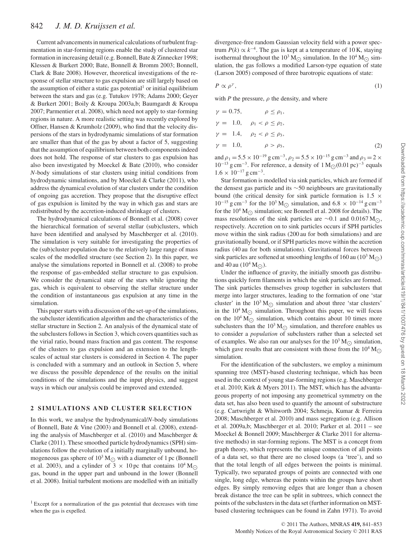Current advancements in numerical calculations of turbulent fragmentation in star-forming regions enable the study of clustered star formation in increasing detail (e.g. Bonnell, Bate & Zinnecker 1998; Klessen & Burkert 2000; Bate, Bonnell & Bromm 2003; Bonnell, Clark & Bate 2008). However, theoretical investigations of the response of stellar structure to gas expulsion are still largely based on the assumption of either a static gas potential<sup>1</sup> or initial equilibrium between the stars and gas (e.g. Tutukov 1978; Adams 2000; Geyer & Burkert 2001; Boily & Kroupa 2003a,b; Baumgardt & Kroupa 2007; Parmentier et al. 2008), which need not apply to star-forming regions in nature. A more realistic setting was recently explored by Offner, Hansen & Krumholz (2009), who find that the velocity dispersions of the stars in hydrodynamic simulations of star formation are smaller than that of the gas by about a factor of 5, suggesting that the assumption of equilibrium between both components indeed does not hold. The response of star clusters to gas expulsion has also been investigated by Moeckel & Bate (2010), who consider *N*-body simulations of star clusters using initial conditions from hydrodynamic simulations, and by Moeckel & Clarke (2011), who address the dynamical evolution of star clusters under the condition of ongoing gas accretion. They propose that the disruptive effect of gas expulsion is limited by the way in which gas and stars are redistributed by the accretion-induced shrinkage of clusters.

The hydrodynamical calculations of Bonnell et al. (2008) cover the hierarchical formation of several stellar (sub)clusters, which have been identified and analysed by Maschberger et al. (2010). The simulation is very suitable for investigating the properties of the (sub)cluster population due to the relatively large range of mass scales of the modelled structure (see Section 2). In this paper, we analyse the simulations reported in Bonnell et al. (2008) to probe the response of gas-embedded stellar structure to gas expulsion. We consider the dynamical state of the stars while ignoring the gas, which is equivalent to observing the stellar structure under the condition of instantaneous gas expulsion at any time in the simulation.

This paper starts with a discussion of the set-up of the simulations, the subcluster identification algorithm and the characteristics of the stellar structure in Section 2. An analysis of the dynamical state of the subclusters follows in Section 3, which covers quantities such as the virial ratio, bound mass fraction and gas content. The response of the clusters to gas expulsion and an extension to the lengthscales of actual star clusters is considered in Section 4. The paper is concluded with a summary and an outlook in Section 5, where we discuss the possible dependence of the results on the initial conditions of the simulations and the input physics, and suggest ways in which our analysis could be improved and extended.

#### **2 SIMULATIONS AND CLUSTER SELECTION**

In this work, we analyse the hydrodynamical/*N*-body simulations of Bonnell, Bate & Vine (2003) and Bonnell et al. (2008), extending the analysis of Maschberger et al. (2010) and Maschberger & Clarke (2011). These smoothed particle hydrodynamics (SPH) simulations follow the evolution of a initially marginally unbound, homogeneous gas sphere of  $10^3$  M $\odot$  with a diameter of 1 pc (Bonnell et al. 2003), and a cylinder of  $3 \times 10$  pc that contains  $10^4$  M<sub> $\odot$ </sub> gas, bound in the upper part and unbound in the lower (Bonnell et al. 2008). Initial turbulent motions are modelled with an initially

divergence-free random Gaussian velocity field with a power spectrum  $P(k) \propto k^{-4}$ . The gas is kept at a temperature of 10 K, staying isothermal throughout the 10<sup>3</sup> M<sub> $\odot$ </sub> simulation. In the 10<sup>4</sup> M<sub> $\odot$ </sub> simulation, the gas follows a modified Larson-type equation of state (Larson 2005) composed of three barotropic equations of state:

$$
P \propto \rho^{\gamma},\tag{1}
$$

with *P* the pressure,  $\rho$  the density, and where

$$
\gamma = 0.75, \qquad \rho \le \rho_1, \n\gamma = 1.0, \qquad \rho_1 < \rho \le \rho_2, \n\gamma = 1.4, \qquad \rho_2 < \rho \le \rho_3, \n\gamma = 1.0, \qquad \rho > \rho_3,
$$
\n(2)

and  $\rho_1 = 5.5 \times 10^{-19}$  g cm<sup>-3</sup>,  $\rho_2 = 5.5 \times 10^{-15}$  g cm<sup>-3</sup> and  $\rho_3 = 2 \times$  $10^{-13}$  g cm<sup>-3</sup>. For reference, a density of  $1 \text{ M}_\odot (0.01 \text{ pc})^{-3}$  equals  $1.6 \times 10^{-17}$  g cm<sup>-3</sup>.

Star formation is modelled via sink particles, which are formed if the densest gas particle and its ∼50 neighbours are gravitationally bound (the critical density for sink particle formation is 1.5  $\times$  $10^{-15}$  g cm<sup>-3</sup> for the 10<sup>3</sup> M<sub> $\odot$ </sub> simulation, and 6.8 × 10<sup>-14</sup> g cm<sup>-3</sup> for the  $10^4$  M<sub> $\odot$ </sub> simulation; see Bonnell et al. 2008 for details). The mass resolutions of the sink particles are ∼0.1 and 0.0167 M $\odot$ , respectively. Accretion on to sink particles occurs if SPH particles move within the sink radius (200 au for both simulations) and are gravitationally bound, or if SPH particles move within the accretion radius (40 au for both simulations). Gravitational forces between sink particles are softened at smoothing lengths of 160 au ( $10^3$  M $_{\odot}$ ) and 40 au ( $10^4$  M $\odot$ ).

Under the influence of gravity, the initially smooth gas distributions quickly form filaments in which the sink particles are formed. The sink particles themselves group together in subclusters that merge into larger structures, leading to the formation of one 'star cluster' in the  $10^3 M_{\odot}$  simulation and about three 'star clusters' in the  $10^4$  M<sub> $\odot$ </sub> simulation. Throughout this paper, we will focus on the  $10^4 M_{\odot}$  simulation, which contains about 10 times more subclusters than the  $10^3$  M<sub> $\odot$ </sub> simulation, and therefore enables us to consider a *population* of subclusters rather than a selected set of examples. We also ran our analyses for the  $10^3$  M $\odot$  simulation, which gave results that are consistent with those from the  $10^4 M_{\odot}$ simulation.

For the identification of the subclusters, we employ a minimum spanning tree (MST)-based clustering technique, which has been used in the context of young star-forming regions (e.g. Maschberger et al. 2010; Kirk & Myers 2011). The MST, which has the advantageous property of not imposing any geometrical symmetry on the data set, has also been used to quantify the amount of substructure (e.g. Cartwright & Whitworth 2004; Schmeja, Kumar & Ferreira 2008; Maschberger et al. 2010) and mass segregation (e.g. Allison et al. 2009a,b; Maschberger et al. 2010; Parker et al. 2011 – see Moeckel & Bonnell 2009; Maschberger & Clarke 2011 for alternative methods) in star-forming regions. The MST is a concept from graph theory, which represents the unique connection of all points of a data set, so that there are no closed loops (a 'tree'), and so that the total length of all edges between the points is minimal. Typically, two separated groups of points are connected with one single, long edge, whereas the points within the groups have short edges. By simply removing edges that are longer than a chosen break distance the tree can be split in subtrees, which connect the points of the subclusters in the data set (further information on MSTbased clustering techniques can be found in Zahn 1971). To avoid

 $1$  Except for a normalization of the gas potential that decreases with time when the gas is expelled.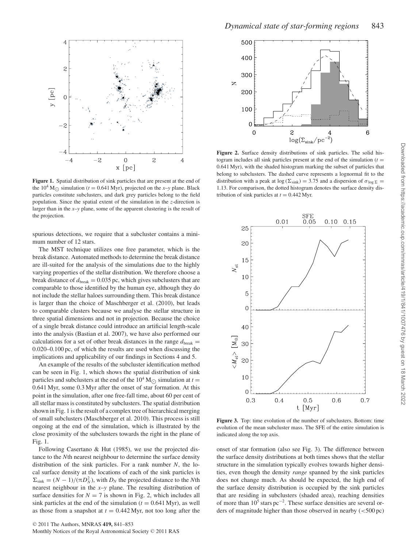

**Figure 1.** Spatial distribution of sink particles that are present at the end of the  $10^4$  M<sub> $\odot$ </sub> simulation (*t* = 0.641 Myr), projected on the *x*-*y* plane. Black particles constitute subclusters, and dark grey particles belong to the field population. Since the spatial extent of the simulation in the *z*-direction is larger than in the *x*–*y* plane, some of the apparent clustering is the result of the projection.

spurious detections, we require that a subcluster contains a minimum number of 12 stars.

The MST technique utilizes one free parameter, which is the break distance. Automated methods to determine the break distance are ill-suited for the analysis of the simulations due to the highly varying properties of the stellar distribution. We therefore choose a break distance of  $d_{\text{break}} = 0.035$  pc, which gives subclusters that are comparable to those identified by the human eye, although they do not include the stellar haloes surrounding them. This break distance is larger than the choice of Maschberger et al. (2010), but leads to comparable clusters because we analyse the stellar structure in three spatial dimensions and not in projection. Because the choice of a single break distance could introduce an artificial length-scale into the analysis (Bastian et al. 2007), we have also performed our calculations for a set of other break distances in the range  $d_{\text{break}} =$ 0.020–0.100 pc, of which the results are used when discussing the implications and applicability of our findings in Sections 4 and 5.

An example of the results of the subcluster identification method can be seen in Fig. 1, which shows the spatial distribution of sink particles and subclusters at the end of the  $10^4$  M<sub> $\odot$ </sub> simulation at  $t =$ 0.641 Myr, some 0.3 Myr after the onset of star formation. At this point in the simulation, after one free-fall time, about 60 per cent of all stellar mass is constituted by subclusters. The spatial distribution shown in Fig. 1 is the result of a complex tree of hierarchical merging of small subclusters (Maschberger et al. 2010). This process is still ongoing at the end of the simulation, which is illustrated by the close proximity of the subclusters towards the right in the plane of Fig. 1.

Following Casertano & Hut (1985), we use the projected distance to the *N*th nearest neighbour to determine the surface density distribution of the sink particles. For a rank number *N*, the local surface density at the locations of each of the sink particles is  $\Sigma_{\text{sink}} = (N - 1)/(\pi D_N^2)$ , with  $D_N$  the projected distance to the *N*th nearest neighbour in the *x*–*y* plane. The resulting distribution of surface densities for  $N = 7$  is shown in Fig. 2, which includes all sink particles at the end of the simulation  $(t = 0.641 \text{ Myr})$ , as well as those from a snapshot at  $t = 0.442 \text{ Myr}$ , not too long after the



**Figure 2.** Surface density distributions of sink particles. The solid histogram includes all sink particles present at the end of the simulation  $(t =$ 0.641 Myr), with the shaded histogram marking the subset of particles that belong to subclusters. The dashed curve represents a lognormal fit to the distribution with a peak at log ( $\Sigma_{\text{sink}}$ ) = 3.75 and a dispersion of  $\sigma_{\log \Sigma}$  = 1.13. For comparison, the dotted histogram denotes the surface density distribution of sink particles at  $t = 0.442 \text{ Myr}$ .



**Figure 3.** Top: time evolution of the number of subclusters. Bottom: time evolution of the mean subcluster mass. The SFE of the entire simulation is indicated along the top axis.

onset of star formation (also see Fig. 3). The difference between the surface density distributions at both times shows that the stellar structure in the simulation typically evolves towards higher densities, even though the density *range* spanned by the sink particles does not change much. As should be expected, the high end of the surface density distribution is occupied by the sink particles that are residing in subclusters (shaded area), reaching densities of more than  $10^5$  stars pc<sup>-2</sup>. These surface densities are several orders of magnitude higher than those observed in nearby  $\left( \langle 500 \text{ pc} \rangle \right)$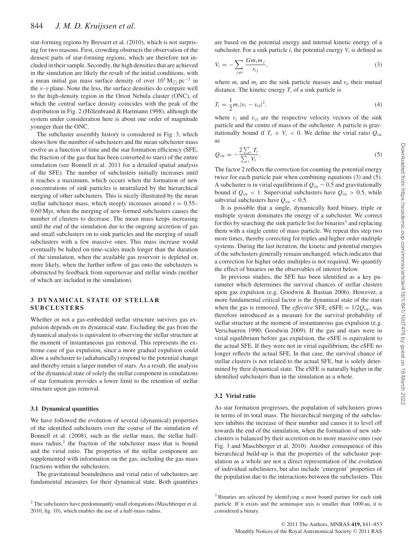star-forming regions by Bressert et al. (2010), which is not surprising for two reasons. First, crowding obstructs the observation of the densest parts of star-forming regions, which are therefore not included in their sample. Secondly, the high densities that are achieved in the simulation are likely the result of the initial conditions, with a mean initial gas mass surface density of over  $10^3$  M<sub> $\odot$ </sub> pc<sup>-2</sup> in the *x*–*y* plane. None the less, the surface densities do compare well to the high-density region in the Orion Nebula cluster (ONC), of which the central surface density coincides with the peak of the distribution in Fig. 2 (Hillenbrand & Hartmann 1998), although the system under consideration here is about one order of magnitude younger than the ONC.

The subcluster assembly history is considered in Fig. 3, which shows how the number of subclusters and the mean subcluster mass evolve as a function of time and the star formation efficiency (SFE, the fraction of the gas that has been converted to stars) of the entire simulation (see Bonnell et al. 2011 for a detailed spatial analysis of the SFE). The number of subclusters initially increases until it reaches a maximum, which occurs when the formation of new concentrations of sink particles is neutralized by the hierarchical merging of other subclusters. This is nicely illustrated by the mean stellar subcluster mass, which steeply increases around  $t = 0.55-$ 0.60 Myr, when the merging of new-formed subclusters causes the number of clusters to decrease. The mean mass keeps increasing until the end of the simulation due to the ongoing accretion of gas and small subclusters on to sink particles and the merging of small subclusters with a few massive ones. This mass increase would eventually be halted on time-scales much longer than the duration of the simulation, when the available gas reservoir is depleted or, more likely, when the further inflow of gas onto the subclusters is obstructed by feedback from supernovae and stellar winds (neither of which are included in the simulation).

### **3 DYNAMICAL STATE OF STELLAR SUBCLUSTERS**

Whether or not a gas-embedded stellar structure survives gas expulsion depends on its dynamical state. Excluding the gas from the dynamical analysis is equivalent to observing the stellar structure at the moment of instantaneous gas removal. This represents the extreme case of gas expulsion, since a more gradual expulsion could allow a subcluster to (adiabatically) respond to the potential change and thereby retain a larger number of stars. As a result, the analysis of the dynamical state of solely the stellar component in simulations of star formation provides a lower limit to the retention of stellar structure upon gas removal.

#### **3.1 Dynamical quantities**

We have followed the evolution of several (dynamical) properties of the identified subclusters over the course of the simulation of Bonnell et al. (2008), such as the stellar mass, the stellar halfmass radius, $<sup>2</sup>$  the fraction of the subcluster mass that is bound</sup> and the virial ratio. The properties of the stellar component are supplemented with information on the gas, including the gas mass fractions within the subclusters.

The gravitational boundedness and virial ratio of subclusters are fundamental measures for their dynamical state. Both quantities

are based on the potential energy and internal kinetic energy of a subcluster. For a sink particle  $i$ , the potential energy  $V_i$  is defined as

$$
V_i = -\sum_{j \neq i} \frac{Gm_i m_j}{r_{ij}},\tag{3}
$$

where  $m_i$  and  $m_j$  are the sink particle masses and  $r_{ij}$  their mutual distance. The kinetic energy  $T_i$  of a sink particle is

$$
T_i = \frac{1}{2} m_i |v_i - v_{\rm cl}|^2,\tag{4}
$$

where  $v_i$  and  $v_{c1}$  are the respective velocity vectors of the sink particle and the centre of mass of the subcluster. A particle is gravitationally bound if  $T_i + V_i < 0$ . We define the virial ratio  $Q_{\text{vir}}$ as

$$
Q_{\text{vir}} = -\frac{2\sum_{i} T_{i}}{\sum_{i} V_{i}}.
$$
\n(5)

The factor 2 reflects the correction for counting the potential energy twice for each particle pair when combining equations (3) and (5). A subcluster is in virial equilibrium if *Q*vir ∼ 0.5 and gravitationally bound if  $Q_{\text{vir}} < 1$ . Supervirial subclusters have  $Q_{\text{vir}} > 0.5$ , while subvirial subclusters have  $Q_{\text{vir}} < 0.5$ .

It is possible that a single, dynamically hard binary, triple or multiple system dominates the energy of a subcluster. We correct for this by searching the sink particle list for binaries<sup>3</sup> and replacing them with a single centre of mass particle. We repeat this step two more times, thereby correcting for triples and higher order multiple systems. During the last iteration, the kinetic and potential energies of the subclusters generally remain unchanged, which indicates that a correction for higher order multiples is not required. We quantify the effect of binaries on the observables of interest below.

In previous studies, the SFE has been identified as a key parameter which determines the survival chances of stellar clusters upon gas expulsion (e.g. Goodwin & Bastian 2006). However, a more fundamental critical factor is the dynamical state of the stars when the gas is removed. The *effective* SFE,  $eSFE = 1/2Q_{\text{vir}}$ , was therefore introduced as a measure for the survival probability of stellar structure at the moment of instantaneous gas expulsion (e.g. Verschueren 1990; Goodwin 2009). If the gas and stars were in virial equilibrium before gas expulsion, the eSFE is equivalent to the actual SFE. If they were not in virial equilibrium, the eSFE no longer reflects the actual SFE. In that case, the survival chance of stellar clusters is not related to the actual SFE, but is solely determined by their dynamical state. The eSFE is naturally higher in the identified subclusters than in the simulation as a whole.

#### **3.2 Virial ratio**

As star formation progresses, the population of subclusters grows in terms of its total mass. The hierarchical merging of the subclusters inhibits the increase of their number and causes it to level off towards the end of the simulation, when the formation of new subclusters is balanced by their accretion on to more massive ones (see Fig. 3 and Maschberger et al. 2010). Another consequence of this hierarchical build-up is that the properties of the subcluster population as a whole are not a direct representation of the evolution of individual subclusters, but also include 'emergent' properties of the population due to the interactions between the subclusters. This

<sup>&</sup>lt;sup>2</sup> The subclusters have predominantly small elongations (Maschberger et al. 2010, fig. 10), which enables the use of a half-mass radius.

<sup>&</sup>lt;sup>3</sup> Binaries are selected by identifying a most bound partner for each sink particle. If it exists and the semimajor axis is smaller than 1000 au, it is considered a binary.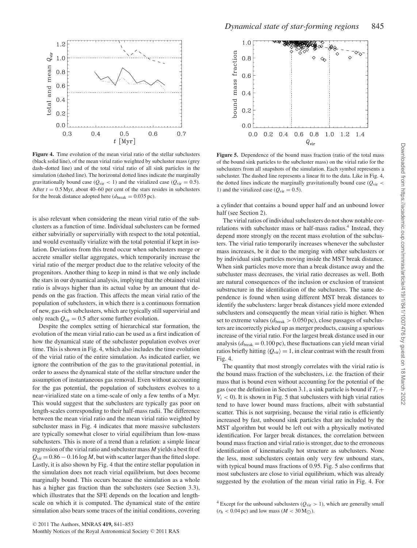

**Figure 4.** Time evolution of the mean virial ratio of the stellar subclusters (black solid line), of the mean virial ratio weighted by subcluster mass (grey dash–dotted line) and of the total virial ratio of all sink particles in the simulation (dashed line). The horizontal dotted lines indicate the marginally gravitationally bound case ( $Q_{\text{vir}} < 1$ ) and the virialized case ( $Q_{\text{vir}} = 0.5$ ). After  $t = 0.5$  Myr, about 40–60 per cent of the stars resides in subclusters for the break distance adopted here  $(d_{\text{break}} = 0.035 \text{ pc})$ .

is also relevant when considering the mean virial ratio of the subclusters as a function of time. Individual subclusters can be formed either subvirially or supervirially with respect to the total potential, and would eventually virialize with the total potential if kept in isolation. Deviations from this trend occur when subclusters merge or accrete smaller stellar aggregates, which temporarily increase the virial ratio of the merger product due to the relative velocity of the progenitors. Another thing to keep in mind is that we only include the stars in our dynamical analysis, implying that the obtained virial ratio is always higher than its actual value by an amount that depends on the gas fraction. This affects the mean virial ratio of the population of subclusters, in which there is a continuous formation of new, gas-rich subclusters, which are typically still supervirial and only reach  $Q_{\text{vir}} = 0.5$  after some further evolution.

Despite the complex setting of hierarchical star formation, the evolution of the mean virial ratio can be used as a first indication of how the dynamical state of the subcluster population evolves over time. This is shown in Fig. 4, which also includes the time evolution of the virial ratio of the entire simulation. As indicated earlier, we ignore the contribution of the gas to the gravitational potential, in order to assess the dynamical state of the stellar structure under the assumption of instantaneous gas removal. Even without accounting for the gas potential, the population of subclusters evolves to a near-virialized state on a time-scale of only a few tenths of a Myr. This would suggest that the subclusters are typically gas poor on length-scales corresponding to their half-mass radii. The difference between the mean virial ratio and the mean virial ratio weighted by subcluster mass in Fig. 4 indicates that more massive subclusters are typically somewhat closer to virial equilibrium than low-mass subclusters. This is more of a trend than a relation: a simple linear regression of the virial ratio and subcluster mass *M* yields a best fit of  $Q_{\text{vir}} = 0.86 - 0.16 \log M$ , but with scatter larger than the fitted slope. Lastly, it is also shown by Fig. 4 that the entire stellar population in the simulation does not reach virial equilibrium, but does become marginally bound. This occurs because the simulation as a whole has a higher gas fraction than the subclusters (see Section 3.3), which illustrates that the SFE depends on the location and lengthscale on which it is computed. The dynamical state of the entire simulation also bears some traces of the initial conditions, covering



Figure 5. Dependence of the bound mass fraction (ratio of the total mass of the bound sink particles to the subcluster mass) on the virial ratio for the subclusters from all snapshots of the simulation. Each symbol represents a subcluster. The dashed line represents a linear fit to the data. Like in Fig. 4, the dotted lines indicate the marginally gravitationally bound case ( $Q_{\text{vir}}$  < 1) and the virialized case ( $Q_{\text{vir}} = 0.5$ ).

a cylinder that contains a bound upper half and an unbound lower half (see Section 2).

The virial ratios of individual subclusters do not show notable correlations with subcluster mass or half-mass radius.<sup>4</sup> Instead, they depend more strongly on the recent mass evolution of the subclusters. The virial ratio temporarily increases whenever the subcluster mass increases, be it due to the merging with other subclusters or by individual sink particles moving inside the MST break distance. When sink particles move more than a break distance away and the subcluster mass decreases, the virial ratio decreases as well. Both are natural consequences of the inclusion or exclusion of transient substructure in the identification of the subclusters. The same dependence is found when using different MST break distances to identify the subclusters: larger break distances yield more extended subclusters and consequently the mean virial ratio is higher. When set to extreme values ( $d_{\text{break}} > 0.050 \text{ pc}$ ), close passages of subclusters are incorrectly picked up as merger products, causing a spurious increase of the virial ratio. For the largest break distance used in our analysis ( $d_{\text{break}} = 0.100 \text{ pc}$ ), these fluctuations can yield mean virial ratios briefly hitting  $\langle Q_{\text{vir}} \rangle = 1$ , in clear contrast with the result from Fig. 4.

The quantity that most strongly correlates with the virial ratio is the bound mass fraction of the subclusters, i.e. the fraction of their mass that is bound even without accounting for the potential of the gas (see the definition in Section 3.1, a sink particle is bound if  $T_i$  +  $V_i$  < 0). It is shown in Fig. 5 that subclusters with high virial ratios tend to have lower bound mass fractions, albeit with substantial scatter. This is not surprising, because the virial ratio is efficiently increased by fast, unbound sink particles that are included by the MST algorithm but would be left out with a physically motivated identification. For larger break distances, the correlation between bound mass fraction and virial ratio is stronger, due to the erroneous identification of kinematically hot structure as subclusters. None the less, most subclusters contain only very few unbound stars, with typical bound mass fractions of 0.95. Fig. 5 also confirms that most subclusters are close to virial equilibrium, which was already suggested by the evolution of the mean virial ratio in Fig. 4. For

<sup>4</sup> Except for the unbound subclusters ( $Q_{\text{vir}} > 1$ ), which are generally small  $(r_h < 0.04 \,\text{pc})$  and low mass  $(M < 30 \,\text{M}_\odot)$ .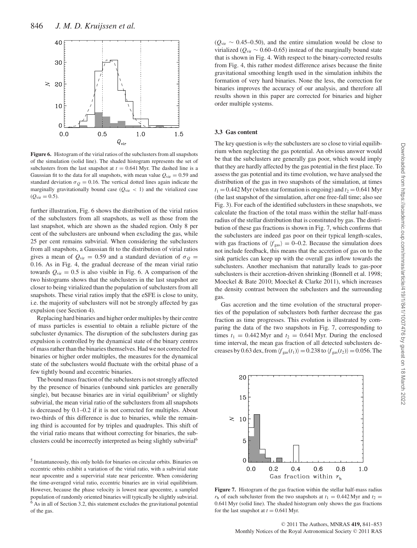

**Figure 6.** Histogram of the virial ratios of the subclusters from all snapshots of the simulation (solid line). The shaded histogram represents the set of subclusters from the last snapshot at  $t = 0.641$  Myr. The dashed line is a Gaussian fit to the data for all snapshots, with mean value  $Q_{\text{vir}} = 0.59$  and standard deviation  $\sigma_Q = 0.16$ . The vertical dotted lines again indicate the marginally gravitationally bound case  $(Q_{\text{vir}} < 1)$  and the virialized case  $(Q_{\text{vir}} = 0.5)$ .

further illustration, Fig. 6 shows the distribution of the virial ratios of the subclusters from all snapshots, as well as those from the last snapshot, which are shown as the shaded region. Only 8 per cent of the subclusters are unbound when excluding the gas, while 25 per cent remains subvirial. When considering the subclusters from all snapshots, a Gaussian fit to the distribution of virial ratios gives a mean of  $Q_{\text{vir}} = 0.59$  and a standard deviation of  $\sigma_{Q} =$ 0.16. As in Fig. 4, the gradual decrease of the mean virial ratio towards  $Q_{\text{vir}} = 0.5$  is also visible in Fig. 6. A comparison of the two histograms shows that the subclusters in the last snapshot are closer to being virialized than the population of subclusters from all snapshots. These virial ratios imply that the eSFE is close to unity, i.e. the majority of subclusters will not be strongly affected by gas expulsion (see Section 4).

Replacing hard binaries and higher order multiples by their centre of mass particles is essential to obtain a reliable picture of the subcluster dynamics. The disruption of the subclusters during gas expulsion is controlled by the dynamical state of the binary centres of mass rather than the binaries themselves. Had we not corrected for binaries or higher order multiples, the measures for the dynamical state of the subclusters would fluctuate with the orbital phase of a few tightly bound and eccentric binaries.

The bound mass fraction of the subclusters is not strongly affected by the presence of binaries (unbound sink particles are generally single), but because binaries are in virial equilibrium<sup>5</sup> or slightly subvirial, the mean virial ratio of the subclusters from all snapshots is decreased by 0.1–0.2 if it is not corrected for multiples. About two-thirds of this difference is due to binaries, while the remaining third is accounted for by triples and quadruples. This shift of the virial ratio means that without correcting for binaries, the subclusters could be incorrectly interpreted as being slightly subvirial<sup>6</sup>

(*Q*vir ∼ 0.45–0.50), and the entire simulation would be close to virialized (*Q*vir ∼ 0.60–0.65) instead of the marginally bound state that is shown in Fig. 4. With respect to the binary-corrected results from Fig. 4, this rather modest difference arises because the finite gravitational smoothing length used in the simulation inhibits the formation of very hard binaries. None the less, the correction for binaries improves the accuracy of our analysis, and therefore all results shown in this paper are corrected for binaries and higher order multiple systems.

#### **3.3 Gas content**

The key question is *why* the subclusters are so close to virial equilibrium when neglecting the gas potential. An obvious answer would be that the subclusters are generally gas poor, which would imply that they are hardly affected by the gas potential in the first place. To assess the gas potential and its time evolution, we have analysed the distribution of the gas in two snapshots of the simulation, at times  $t_1 = 0.442$  Myr (when star formation is ongoing) and  $t_2 = 0.641$  Myr (the last snapshot of the simulation, after one free-fall time; also see Fig. 3). For each of the identified subclusters in these snapshots, we calculate the fraction of the total mass within the stellar half-mass radius of the stellar distribution that is constituted by gas. The distribution of these gas fractions is shown in Fig. 7, which confirms that the subclusters are indeed gas poor on their typical length-scales, with gas fractions of  $\langle f_{\text{gas}} \rangle = 0$ –0.2. Because the simulation does not include feedback, this means that the accretion of gas on to the sink particles can keep up with the overall gas inflow towards the subclusters. Another mechanism that naturally leads to gas-poor subclusters is their accretion-driven shrinking (Bonnell et al. 1998; Moeckel & Bate 2010; Moeckel & Clarke 2011), which increases the density contrast between the subclusters and the surrounding gas.

Gas accretion and the time evolution of the structural properties of the population of subclusters both further decrease the gas fraction as time progresses. This evolution is illustrated by comparing the data of the two snapshots in Fig. 7, corresponding to times  $t_1 = 0.442 \text{ Myr}$  and  $t_2 = 0.641 \text{ Myr}$ . During the enclosed time interval, the mean gas fraction of all detected subclusters decreases by 0.63 dex, from  $\langle f_{\rm gas}(t_1) \rangle = 0.238$  to  $\langle f_{\rm gas}(t_2) \rangle = 0.056$ . The



**Figure 7.** Histogram of the gas fraction within the stellar half-mass radius  $r<sub>h</sub>$  of each subcluster from the two snapshots at  $t<sub>1</sub> = 0.442$  Myr and  $t<sub>2</sub> =$ 0.641 Myr (solid line). The shaded histogram only shows the gas fractions for the last snapshot at  $t = 0.641$  Myr.

<sup>5</sup> Instantaneously, this only holds for binaries on circular orbits. Binaries on eccentric orbits exhibit a variation of the virial ratio, with a subvirial state near apocentre and a supervirial state near pericentre. When considering the time-averaged virial ratio, eccentric binaries are in virial equilibrium. However, because the phase velocity is lowest near apocentre, a sampled population of randomly oriented binaries will typically be slightly subvirial.  $6 \text{ As in all of Section 3.2, this statement excludes the gravitational potential}$ of the gas.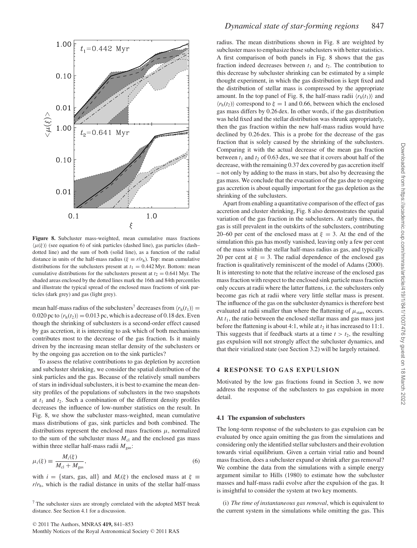

**Figure 8.** Subcluster mass-weighted, mean cumulative mass fractions  $\langle\mu(\xi)\rangle$  (see equation 6) of sink particles (dashed line), gas particles (dash– dotted line) and the sum of both (solid line), as a function of the radial distance in units of the half-mass radius ( $\xi \equiv r/r_h$ ). Top: mean cumulative distributions for the subclusters present at  $t_1 = 0.442 \text{ Myr}$ . Bottom: mean cumulative distributions for the subclusters present at  $t_2 = 0.641$  Myr. The shaded areas enclosed by the dotted lines mark the 16th and 84th percentiles and illustrate the typical spread of the enclosed mass fractions of sink particles (dark grey) and gas (light grey).

mean half-mass radius of the subclusters<sup>7</sup> decreases from  $\langle r_h(t_1) \rangle =$ 0.020 pc to  $\langle r_h(t_2) \rangle = 0.013$  pc, which is a decrease of 0.18 dex. Even though the shrinking of subclusters is a second-order effect caused by gas accretion, it is interesting to ask which of both mechanisms contributes most to the decrease of the gas fraction. Is it mainly driven by the increasing mean stellar density of the subclusters or by the ongoing gas accretion on to the sink particles?

To assess the relative contributions to gas depletion by accretion and subcluster shrinking, we consider the spatial distribution of the sink particles and the gas. Because of the relatively small numbers of stars in individual subclusters, it is best to examine the mean density profiles of the populations of subclusters in the two snapshots at  $t_1$  and  $t_2$ . Such a combination of the different density profiles decreases the influence of low-number statistics on the result. In Fig. 8, we show the subcluster mass-weighted, mean cumulative mass distributions of gas, sink particles and both combined. The distributions represent the enclosed mass fractions  $\mu$ , normalized to the sum of the subcluster mass  $M<sub>cl</sub>$  and the enclosed gas mass within three stellar half-mass radii  $M_{\text{gas}}$ :

$$
\mu_i(\xi) \equiv \frac{M_i(\xi)}{M_{\rm cl} + M_{\rm gas}},\tag{6}
$$

with  $i = \{\text{stars}, \text{ gas}, \text{ all}\}\$  and  $M_i(\xi)$  the enclosed mass at  $\xi \equiv$  $r/r<sub>h</sub>$ , which is the radial distance in units of the stellar half-mass

<sup>7</sup> The subcluster sizes are strongly correlated with the adopted MST break distance. See Section 4.1 for a discussion.

radius. The mean distributions shown in Fig. 8 are weighted by subcluster mass to emphasize those subclusters with better statistics. A first comparison of both panels in Fig. 8 shows that the gas fraction indeed decreases between  $t_1$  and  $t_2$ . The contribution to this decrease by subcluster shrinking can be estimated by a simple thought experiment, in which the gas distribution is kept fixed and the distribution of stellar mass is compressed by the appropriate amount. In the top panel of Fig. 8, the half-mass radii  $\langle r_h(t_1) \rangle$  and  $\langle r_h(t_2) \rangle$  correspond to  $\xi = 1$  and 0.66, between which the enclosed gas mass differs by 0.26 dex. In other words, if the gas distribution was held fixed and the stellar distribution was shrunk appropriately, then the gas fraction within the new half-mass radius would have declined by 0.26 dex. This is a probe for the decrease of the gas fraction that is solely caused by the shrinking of the subclusters. Comparing it with the actual decrease of the mean gas fraction between  $t_1$  and  $t_2$  of 0.63 dex, we see that it covers about half of the decrease, with the remaining 0.37 dex covered by gas accretion itself – not only by adding to the mass in stars, but also by decreasing the gas mass. We conclude that the evacuation of the gas due to ongoing gas accretion is about equally important for the gas depletion as the shrinking of the subclusters.

Apart from enabling a quantitative comparison of the effect of gas accretion and cluster shrinking, Fig. 8 also demonstrates the spatial variation of the gas fraction in the subclusters. At early times, the gas is still prevalent in the outskirts of the subclusters, contributing 20–60 per cent of the enclosed mass at  $\xi = 3$ . At the end of the simulation this gas has mostly vanished, leaving only a few per cent of the mass within the stellar half-mass radius as gas, and typically 20 per cent at  $\xi = 3$ . The radial dependence of the enclosed gas fraction is qualitatively reminiscent of the model of Adams (2000). It is interesting to note that the relative increase of the enclosed gas mass fraction with respect to the enclosed sink particle mass fraction only occurs at radii where the latter flattens, i.e. the subclusters only become gas rich at radii where very little stellar mass is present. The influence of the gas on the subcluster dynamics is therefore best evaluated at radii smaller than where the flattening of  $\mu_{\text{stars}}$  occurs. At  $t_1$ , the ratio between the enclosed stellar mass and gas mass just before the flattening is about 4:1, while at  $t_2$  it has increased to 11:1. This suggests that if feedback starts at a time  $t > t_2$ , the resulting gas expulsion will not strongly affect the subcluster dynamics, and that their virialized state (see Section 3.2) will be largely retained.

#### **4 RESPONSE TO GAS EXPULSION**

Motivated by the low gas fractions found in Section 3, we now address the response of the subclusters to gas expulsion in more detail.

#### **4.1 The expansion of subclusters**

The long-term response of the subclusters to gas expulsion can be evaluated by once again omitting the gas from the simulations and considering only the identified stellar subclusters and their evolution towards virial equilibrium. Given a certain virial ratio and bound mass fraction, does a subcluster expand or shrink after gas removal? We combine the data from the simulations with a simple energy argument similar to Hills (1980) to estimate how the subcluster masses and half-mass radii evolve after the expulsion of the gas. It is insightful to consider the system at two key moments.

(i) *The time of instantaneous gas removal*, which is equivalent to the current system in the simulations while omitting the gas. This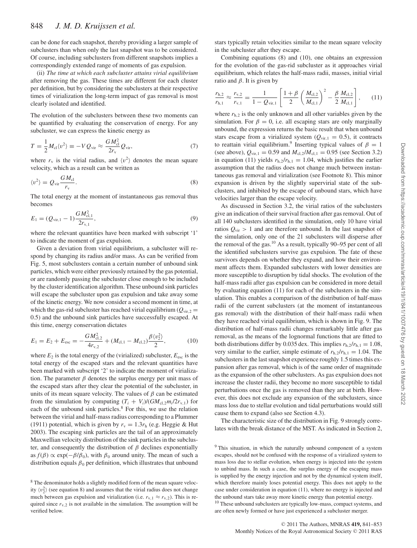can be done for each snapshot, thereby providing a larger sample of subclusters than when only the last snapshot was to be considered. Of course, including subclusters from different snapshots implies a correspondingly extended range of moments of gas expulsion.

(ii) *The time at which each subcluster attains virial equilibrium* after removing the gas. These times are different for each cluster per definition, but by considering the subclusters at their respective times of virialization the long-term impact of gas removal is most clearly isolated and identified.

The evolution of the subclusters between these two moments can be quantified by evaluating the conservation of energy. For any subcluster, we can express the kinetic energy as

$$
T = \frac{1}{2} M_{\rm cl} \langle v^2 \rangle \equiv -V Q_{\rm vir} \approx \frac{GM_{\rm cl}^2}{2r_{\rm v}} Q_{\rm vir},\tag{7}
$$

where  $r_v$  is the virial radius, and  $\langle v^2 \rangle$  denotes the mean square velocity, which as a result can be written as

$$
\langle v^2 \rangle = Q_{\rm vir} \frac{GM_{\rm cl}}{r_{\rm v}}.\tag{8}
$$

The total energy at the moment of instantaneous gas removal thus becomes

$$
E_1 = (Q_{\rm vir,1} - 1) \frac{GM_{\rm cl,1}^2}{2r_{\rm v,1}},\tag{9}
$$

where the relevant quantities have been marked with subscript '1' to indicate the moment of gas expulsion.

Given a deviation from virial equilibrium, a subcluster will respond by changing its radius and/or mass. As can be verified from Fig. 5, most subclusters contain a certain number of unbound sink particles, which were either previously retained by the gas potential, or are randomly passing the subcluster close enough to be included by the cluster identification algorithm. These unbound sink particles will escape the subcluster upon gas expulsion and take away some of the kinetic energy. We now consider a second moment in time, at which the gas-rid subcluster has reached virial equilibrium ( $Q_{\text{vir,2}} =$ 0.5) and the unbound sink particles have successfully escaped. At this time, energy conservation dictates

$$
E_1 = E_2 + E_{\text{esc}} = -\frac{GM_{\text{cl,2}}^2}{4r_{\text{v,2}}} + (M_{\text{cl,1}} - M_{\text{cl,2}})\frac{\beta \langle v_2^2 \rangle}{2},\tag{10}
$$

where  $E_2$  is the total energy of the (virialized) subcluster,  $E_{\text{esc}}$  is the total energy of the escaped stars and the relevant quantities have been marked with subscript '2' to indicate the moment of virialization. The parameter  $\beta$  denotes the surplus energy per unit mass of the escaped stars after they clear the potential of the subcluster, in units of its mean square velocity. The values of  $\beta$  can be estimated from the simulation by computing  $(T_i + V_i)/(GM_{\text{cl,2}}m_i/2r_{\text{v,1}})$  for each of the unbound sink particles.<sup>8</sup> For this, we use the relation between the virial and half-mass radius corresponding to a Plummer (1911) potential, which is given by  $r_v = 1.3r_h$  (e.g. Heggie & Hut 2003). The escaping sink particles are the tail of an approximately Maxwellian velocity distribution of the sink particles in the subcluster, and consequently the distribution of  $\beta$  declines exponentially as  $f(\beta) \propto \exp(-\beta/\beta_0)$ , with  $\beta_0$  around unity. The mean of such a distribution equals  $\beta_0$  per definition, which illustrates that unbound

stars typically retain velocities similar to the mean square velocity in the subcluster after they escape.

Combining equations (8) and (10), one obtains an expression for the evolution of the gas-rid subcluster as it approaches virial equilibrium, which relates the half-mass radii, masses, initial virial ratio and  $\beta$ . It is given by

$$
\frac{r_{\rm h,2}}{r_{\rm h,1}} \approx \frac{r_{\rm v,2}}{r_{\rm v,1}} = \frac{1}{1 - Q_{\rm vir,1}} \left[ \frac{1 + \beta}{2} \left( \frac{M_{\rm cl,2}}{M_{\rm cl,1}} \right)^2 - \frac{\beta}{2} \frac{M_{\rm cl,2}}{M_{\rm cl,1}} \right],\qquad(11)
$$

where  $r_{h,2}$  is the only unknown and all other variables given by the simulation. For  $\beta = 0$ , i.e. all escaping stars are only marginally unbound, the expression returns the basic result that when unbound stars escape from a virialized system ( $Q_{\text{vir,1}} = 0.5$ ), it contracts to reattain virial equilibrium.<sup>9</sup> Inserting typical values of  $\beta = 1$ (see above),  $Q_{\text{vir,1}} = 0.59$  and  $M_{\text{cl,2}}/M_{\text{cl,1}} = 0.95$  (see Section 3.2) in equation (11) yields  $r_{h,2}/r_{h,1} = 1.04$ , which justifies the earlier assumption that the radius does not change much between instantaneous gas removal and virialization (see Footnote 8). This minor expansion is driven by the slightly supervirial state of the subclusters, and inhibited by the escape of unbound stars, which have velocities larger than the escape velocity.

As discussed in Section 3.2, the virial ratios of the subclusters give an indication of their survival fraction after gas removal. Out of all 140 subclusters identified in the simulation, only 10 have virial ratios  $Q_{\text{vir}} > 1$  and are therefore unbound. In the last snapshot of the simulation, only one of the 21 subclusters will disperse after the removal of the gas.<sup>10</sup> As a result, typically 90–95 per cent of all the identified subclusters survive gas expulsion. The fate of these survivors depends on whether they expand, and how their environment affects them. Expanded subclusters with lower densities are more susceptible to disruption by tidal shocks. The evolution of the half-mass radii after gas expulsion can be considered in more detail by evaluating equation (11) for each of the subclusters in the simulation. This enables a comparison of the distribution of half-mass radii of the current subclusters (at the moment of instantaneous gas removal) with the distribution of their half-mass radii when they have reached virial equilibrium, which is shown in Fig. 9. The distribution of half-mass radii changes remarkably little after gas removal, as the means of the lognormal functions that are fitted to both distributions differ by 0.035 dex. This implies  $r_{h,2}/r_{h,1} = 1.08$ , very similar to the earlier, simple estimate of  $r_{h,2}/r_{h,1} = 1.04$ . The subclusters in the last snapshot experience roughly 1.5 times this expansion after gas removal, which is of the same order of magnitude as the expansion of the other subclusters. As gas expulsion does not increase the cluster radii, they become no more susceptible to tidal perturbations once the gas is removed than they are at birth. However, this does not exclude any expansion of the subclusters, since mass loss due to stellar evolution and tidal perturbations would still cause them to expand (also see Section 4.3).

The characteristic size of the distribution in Fig. 9 strongly correlates with the break distance of the MST. As indicated in Section 2,

<sup>&</sup>lt;sup>8</sup> The denominator holds a slightly modified form of the mean square velocity  $\langle v_2^2 \rangle$  (see equation 8) and assumes that the virial radius does not change much between gas expulsion and virialization (i.e.  $r_{v,1} \approx r_{v,2}$ ). This is required since  $r_{v,2}$  is not available in the simulation. The assumption will be verified below.

<sup>&</sup>lt;sup>9</sup> This situation, in which the naturally unbound component of a system escapes, should not be confused with the response of a virialized system to mass loss due to stellar evolution, when energy is injected into the system to unbind mass. In such a case, the surplus energy of the escaping mass is supplied by the energy injection and not by the dynamical system itself, which therefore mainly loses potential energy. This does not apply to the case under consideration in equation (11), where no energy is injected and the unbound stars take away more kinetic energy than potential energy.

<sup>&</sup>lt;sup>10</sup> These unbound subclusters are typically low-mass, compact systems, and are often newly formed or have just experienced a subcluster merger.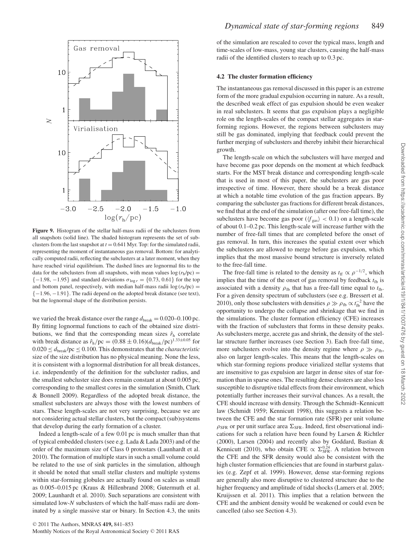

**Figure 9.** Histogram of the stellar half-mass radii of the subclusters from all snapshots (solid line). The shaded histogram represents the set of subclusters from the last snapshot at  $t = 0.641$  Myr. Top: for the simulated radii, representing the moment of instantaneous gas removal. Bottom: for analytically computed radii, reflecting the subclusters at a later moment, when they have reached virial equilibrium. The dashed lines are lognormal fits to the data for the subclusters from all snapshots, with mean values  $log(r_h/pc)$  =  ${-1.98, -1.95}$  and standard deviations  $\sigma_{\log r} = {0.73, 0.61}$  for the top and bottom panel, respectively, with median half-mass radii  $\log(r_h/pc)$  =  ${-1.96, -1.91}$ . The radii depend on the adopted break distance (see text), but the lognormal shape of the distribution persists.

we varied the break distance over the range  $d_{\text{break}} = 0.020{\text -}0.100 \text{ pc}$ . By fitting lognormal functions to each of the obtained size distributions, we find that the corresponding mean sizes  $\hat{r}_{h}$  correlate with break distance as  $\hat{r}_{\rm h}/\text{pc} = (0.88 \pm 0.16)(d_{\rm break}/\text{pc})^{1.33 \pm 0.05}$  for  $0.020 \le d_{\text{break}}/pc \le 0.100$ . This demonstrates that the *characteristic* size of the size distribution has no physical meaning. None the less, it is consistent with a lognormal distribution for all break distances, i.e. independently of the definition for the subcluster radius, and the smallest subcluster size does remain constant at about 0.005 pc, corresponding to the smallest cores in the simulation (Smith, Clark & Bonnell 2009). Regardless of the adopted break distance, the smallest subclusters are always those with the lowest numbers of stars. These length-scales are not very surprising, because we are not considering actual stellar clusters, but the compact (sub)systems that develop during the early formation of a cluster.

Indeed a length-scale of a few 0.01 pc is much smaller than that of typical embedded clusters (see e.g. Lada & Lada 2003) and of the order of the maximum size of Class 0 protostars (Launhardt et al. 2010). The formation of multiple stars in such a small volume could be related to the use of sink particles in the simulation, although it should be noted that small stellar clusters and multiple systems within star-forming globules are actually found on scales as small as 0.005–0.015 pc (Kraus & Hillenbrand 2008; Gutermuth et al. 2009; Launhardt et al. 2010). Such separations are consistent with simulated low-*N* subclusters of which the half-mass radii are dominated by a single massive star or binary. In Section 4.3, the units of the simulation are rescaled to cover the typical mass, length and time-scales of low-mass, young star clusters, causing the half-mass radii of the identified clusters to reach up to 0.3 pc.

#### **4.2 The cluster formation efficiency**

The instantaneous gas removal discussed in this paper is an extreme form of the more gradual expulsion occurring in nature. As a result, the described weak effect of gas expulsion should be even weaker in real subclusters. It seems that gas expulsion plays a negligible role on the length-scales of the compact stellar aggregates in starforming regions. However, the regions between subclusters may still be gas dominated, implying that feedback could prevent the further merging of subclusters and thereby inhibit their hierarchical growth.

The length-scale on which the subclusters will have merged and have become gas poor depends on the moment at which feedback starts. For the MST break distance and corresponding length-scale that is used in most of this paper, the subclusters are gas poor irrespective of time. However, there should be a break distance at which a notable time evolution of the gas fraction appears. By comparing the subcluster gas fractions for different break distances, we find that at the end of the simulation (after one free-fall time), the subclusters have become gas poor ( $\langle f_{\rm gas} \rangle$  < 0.1) on a length-scale of about 0.1–0.2 pc. This length-scale will increase further with the number of free-fall times that are completed before the onset of gas removal. In turn, this increases the spatial extent over which the subclusters are allowed to merge before gas expulsion, which implies that the most massive bound structure is inversely related to the free-fall time.

The free-fall time is related to the density as  $t_{\rm ff} \propto \rho^{-1/2}$ , which implies that the time of the onset of gas removal by feedback  $t_{\text{fb}}$  is associated with a density  $\rho_{\text{fb}}$  that has a free-fall time equal to  $t_{\text{fb}}$ . For a given density spectrum of subclusters (see e.g. Bressert et al. 2010), only those subclusters with densities  $\rho \gg \rho_{\text{fb}} \propto t_{\text{fb}}^{-2}$  have the opportunity to undergo the collapse and shrinkage that we find in the simulations. The cluster formation efficiency (CFE) increases with the fraction of subclusters that forms in these density peaks. As subclusters merge, accrete gas and shrink, the density of the stellar structure further increases (see Section 3). Each free-fall time, more subclusters evolve into the density regime where  $\rho \gg \rho_{\text{fb}}$ , also on larger length-scales. This means that the length-scales on which star-forming regions produce virialized stellar systems that are insensitive to gas expulsion are larger in dense sites of star formation than in sparse ones. The resulting dense clusters are also less susceptible to disruptive tidal effects from their environment, which potentially further increases their survival chances. As a result, the CFE should increase with density. Through the Schmidt–Kennicutt law (Schmidt 1959; Kennicutt 1998), this suggests a relation between the CFE and the star formation rate (SFR) per unit volume  $\rho_{\rm SFR}$  or per unit surface area  $\Sigma_{\rm SFR}$ . Indeed, first observational indications for such a relation have been found by Larsen & Richtler (2000), Larsen (2004) and recently also by Goddard, Bastian & Kennicutt (2010), who obtain CFE  $\propto \Sigma_{\rm SFR}^{0.24}$ . A relation between the CFE and the SFR density would also be consistent with the high cluster formation efficiencies that are found in starburst galaxies (e.g. Zepf et al. 1999). However, dense star-forming regions are generally also more disruptive to clustered structure due to the higher frequency and amplitude of tidal shocks (Lamers et al. 2005; Kruijssen et al. 2011). This implies that a relation between the CFE and the ambient density would be weakened or could even be cancelled (also see Section 4.3).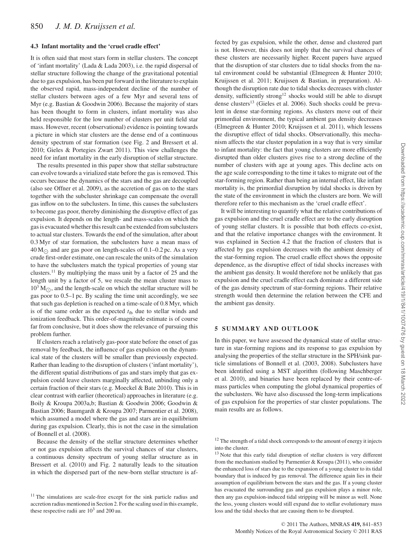#### **4.3 Infant mortality and the 'cruel cradle effect'**

It is often said that most stars form in stellar clusters. The concept of 'infant mortality' (Lada & Lada 2003), i.e. the rapid dispersal of stellar structure following the change of the gravitational potential due to gas expulsion, has been put forward in the literature to explain the observed rapid, mass-independent decline of the number of stellar clusters between ages of a few Myr and several tens of Myr (e.g. Bastian & Goodwin 2006). Because the majority of stars has been thought to form in clusters, infant mortality was also held responsible for the low number of clusters per unit field star mass. However, recent (observational) evidence is pointing towards a picture in which star clusters are the dense end of a continuous density spectrum of star formation (see Fig. 2 and Bressert et al. 2010; Gieles & Portegies Zwart 2011). This view challenges the need for infant mortality in the early disruption of stellar structure.

The results presented in this paper show that stellar substructure can evolve towards a virialized state before the gas is removed. This occurs because the dynamics of the stars and the gas are decoupled (also see Offner et al. 2009), as the accretion of gas on to the stars together with the subcluster shrinkage can compensate the overall gas inflow on to the subclusters. In time, this causes the subclusters to become gas poor, thereby diminishing the disruptive effect of gas expulsion. It depends on the length- and mass-scales on which the gas is evacuated whether this result can be extended from subclusters to actual star clusters. Towards the end of the simulation, after about 0.3 Myr of star formation, the subclusters have a mean mass of  $40 M_{\odot}$  and are gas poor on length-scales of 0.1–0.2 pc. As a very crude first-order estimate, one can rescale the units of the simulation to have the subclusters match the typical properties of young star clusters.11 By multiplying the mass unit by a factor of 25 and the length unit by a factor of 5, we rescale the mean cluster mass to  $10^3$  M<sub> $\odot$ </sub>, and the length-scale on which the stellar structure will be gas poor to 0.5–1 pc. By scaling the time unit accordingly, we see that such gas depletion is reached on a time-scale of 0.8 Myr, which is of the same order as the expected  $t_{\text{fb}}$  due to stellar winds and ionization feedback. This order-of-magnitude estimate is of course far from conclusive, but it does show the relevance of pursuing this problem further.

If clusters reach a relatively gas-poor state before the onset of gas removal by feedback, the influence of gas expulsion on the dynamical state of the clusters will be smaller than previously expected. Rather than leading to the disruption of clusters ('infant mortality'), the different spatial distributions of gas and stars imply that gas expulsion could leave clusters marginally affected, unbinding only a certain fraction of their stars (e.g. Moeckel & Bate 2010). This is in clear contrast with earlier (theoretical) approaches in literature (e.g. Boily & Kroupa 2003a,b; Bastian & Goodwin 2006; Goodwin & Bastian 2006; Baumgardt & Kroupa 2007; Parmentier et al. 2008), which assumed a model where the gas and stars are in equilibrium during gas expulsion. Clearly, this is not the case in the simulation of Bonnell et al. (2008).

Because the density of the stellar structure determines whether or not gas expulsion affects the survival chances of star clusters, a continuous density spectrum of young stellar structure as in Bressert et al. (2010) and Fig. 2 naturally leads to the situation in which the dispersed part of the new-born stellar structure is af-

fected by gas expulsion, while the other, dense and clustered part is not. However, this does not imply that the survival chances of these clusters are necessarily higher. Recent papers have argued that the disruption of star clusters due to tidal shocks from the natal environment could be substantial (Elmegreen & Hunter 2010; Kruijssen et al. 2011; Kruijssen & Bastian, in preparation). Although the disruption rate due to tidal shocks decreases with cluster density, sufficiently strong<sup>12</sup> shocks would still be able to disrupt dense clusters<sup>13</sup> (Gieles et al. 2006). Such shocks could be prevalent in dense star-forming regions. As clusters move out of their primordial environment, the typical ambient gas density decreases (Elmegreen & Hunter 2010; Kruijssen et al. 2011), which lessens the disruptive effect of tidal shocks. Observationally, this mechanism affects the star cluster population in a way that is very similar to infant mortality: the fact that young clusters are more efficiently disrupted than older clusters gives rise to a strong decline of the number of clusters with age at young ages. This decline acts on the age scale corresponding to the time it takes to migrate out of the star-forming region. Rather than being an internal effect, like infant mortality is, the primordial disruption by tidal shocks is driven by the state of the environment in which the clusters are born. We will therefore refer to this mechanism as the 'cruel cradle effect'.

It will be interesting to quantify what the relative contributions of gas expulsion and the cruel cradle effect are to the early disruption of young stellar clusters. It is possible that both effects co-exist, and that the relative importance changes with the environment. It was explained in Section 4.2 that the fraction of clusters that is affected by gas expulsion decreases with the ambient density of the star-forming region. The cruel cradle effect shows the opposite dependence, as the disruptive effect of tidal shocks increases with the ambient gas density. It would therefore not be unlikely that gas expulsion and the cruel cradle effect each dominate a different side of the gas density spectrum of star-forming regions. Their relative strength would then determine the relation between the CFE and the ambient gas density.

#### **5 SUMMARY AND OUTLOOK**

In this paper, we have assessed the dynamical state of stellar structure in star-forming regions and its response to gas expulsion by analysing the properties of the stellar structure in the SPH/sink particle simulations of Bonnell et al. (2003, 2008). Subclusters have been identified using a MST algorithm (following Maschberger et al. 2010), and binaries have been replaced by their centre-ofmass particles when computing the global dynamical properties of the subclusters. We have also discussed the long-term implications of gas expulsion for the properties of star cluster populations. The main results are as follows.

<sup>&</sup>lt;sup>11</sup> The simulations are scale-free except for the sink particle radius and accretion radius mentioned in Section 2. For the scaling used in this example, these respective radii are  $10<sup>3</sup>$  and  $200$  au.

<sup>&</sup>lt;sup>12</sup> The strength of a tidal shock corresponds to the amount of energy it injects into the cluster.

<sup>&</sup>lt;sup>13</sup> Note that this early tidal disruption of stellar clusters is very different from the mechanism studied by Parmentier & Kroupa (2011), who consider the enhanced loss of stars due to the expansion of a young cluster to its tidal boundary that is induced by gas removal. The difference again lies in their assumption of equilibrium between the stars and the gas. If a young cluster has evacuated the surrounding gas and gas expulsion plays a minor role, then any gas expulsion-induced tidal stripping will be minor as well. None the less, young clusters would still expand due to stellar evolutionary mass loss and the tidal shocks that are causing them to be disrupted.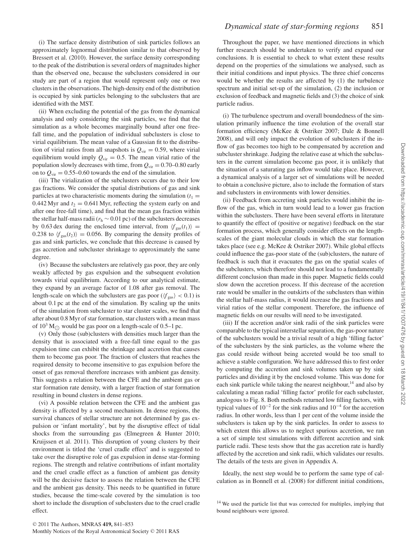(i) The surface density distribution of sink particles follows an approximately lognormal distribution similar to that observed by Bressert et al. (2010). However, the surface density corresponding to the peak of the distribution is several orders of magnitudes higher than the observed one, because the subclusters considered in our study are part of a region that would represent only one or two clusters in the observations. The high-density end of the distribution is occupied by sink particles belonging to the subclusters that are identified with the MST.

(ii) When excluding the potential of the gas from the dynamical analysis and only considering the sink particles, we find that the simulation as a whole becomes marginally bound after one freefall time, and the population of individual subclusters is close to virial equilibrium. The mean value of a Gaussian fit to the distribution of virial ratios from all snapshots is  $Q_{\text{vir}} = 0.59$ , where virial equilibrium would imply  $Q_{\text{vir}} = 0.5$ . The mean virial ratio of the population slowly decreases with time, from  $Q_{\text{vir}} = 0.70{\text -}0.80$  early on to  $Q_{\text{vir}} = 0.55$ –0.60 towards the end of the simulation.

(iii) The virialization of the subclusters occurs due to their low gas fractions. We consider the spatial distributions of gas and sink particles at two characteristic moments during the simulation  $(t_1 =$ 0.442 Myr and  $t_2 = 0.641$  Myr, reflecting the system early on and after one free-fall time), and find that the mean gas fraction within the stellar half-mass radii ( $r<sub>h</sub>$  ∼ 0.01 pc) of the subclusters decreases by 0.63 dex during the enclosed time interval, from  $\langle f_{\rm gas}(t_1) \rangle =$ 0.238 to  $\langle f_{\rm gas}(t_2) \rangle = 0.056$ . By comparing the density profiles of gas and sink particles, we conclude that this decrease is caused by gas accretion and subcluster shrinkage to approximately the same degree.

(iv) Because the subclusters are relatively gas poor, they are only weakly affected by gas expulsion and the subsequent evolution towards virial equilibrium. According to our analytical estimate, they expand by an average factor of 1.08 after gas removal. The length-scale on which the subclusters are gas poor ( $\langle f_{\rm gas} \rangle$  < 0.1) is about 0.1 pc at the end of the simulation. By scaling up the units of the simulation from subcluster to star cluster scales, we find that after about 0.8 Myr of star formation, star clusters with a mean mass of  $10^3$  M<sub> $\odot$ </sub> would be gas poor on a length-scale of 0.5–1 pc.

(v) Only those (sub)clusters with densities much larger than the density that is associated with a free-fall time equal to the gas expulsion time can exhibit the shrinkage and accretion that causes them to become gas poor. The fraction of clusters that reaches the required density to become insensitive to gas expulsion before the onset of gas removal therefore increases with ambient gas density. This suggests a relation between the CFE and the ambient gas or star formation rate density, with a larger fraction of star formation resulting in bound clusters in dense regions.

(vi) A possible relation between the CFE and the ambient gas density is affected by a second mechanism. In dense regions, the survival chances of stellar structure are not determined by gas expulsion or 'infant mortality', but by the disruptive effect of tidal shocks from the surrounding gas (Elmegreen & Hunter 2010; Kruijssen et al. 2011). This disruption of young clusters by their environment is titled the 'cruel cradle effect' and is suggested to take over the disruptive role of gas expulsion in dense star-forming regions. The strength and relative contributions of infant mortality and the cruel cradle effect as a function of ambient gas density will be the decisive factor to assess the relation between the CFE and the ambient gas density. This needs to be quantified in future studies, because the time-scale covered by the simulation is too short to include the disruption of subclusters due to the cruel cradle effect.

Throughout the paper, we have mentioned directions in which further research should be undertaken to verify and expand our conclusions. It is essential to check to what extent these results depend on the properties of the simulations we analysed, such as their initial conditions and input physics. The three chief concerns would be whether the results are affected by (1) the turbulence spectrum and initial set-up of the simulation, (2) the inclusion or exclusion of feedback and magnetic fields and (3) the choice of sink particle radius.

(i) The turbulence spectrum and overall boundedness of the simulation primarily influence the time evolution of the overall star formation efficiency (McKee & Ostriker 2007; Dale & Bonnell 2008), and will only impact the evolution of subclusters if the inflow of gas becomes too high to be compensated by accretion and subcluster shrinkage. Judging the relative ease at which the subclusters in the current simulation become gas poor, it is unlikely that the situation of a saturating gas inflow would take place. However, a dynamical analysis of a larger set of simulations will be needed to obtain a conclusive picture, also to include the formation of stars and subclusters in environments with lower densities.

(ii) Feedback from accreting sink particles would inhibit the inflow of the gas, which in turn would lead to a lower gas fraction within the subclusters. There have been several efforts in literature to quantify the effect of (positive or negative) feedback on the star formation process, which generally consider effects on the lengthscales of the giant molecular clouds in which the star formation takes place (see e.g. McKee & Ostriker 2007). While global effects could influence the gas-poor state of the (sub)clusters, the nature of feedback is such that it evacuates the gas on the spatial scales of the subclusters, which therefore should not lead to a fundamentally different conclusion than made in this paper. Magnetic fields could slow down the accretion process. If this decrease of the accretion rate would be smaller in the outskirts of the subclusters than within the stellar half-mass radius, it would increase the gas fractions and virial ratios of the stellar component. Therefore, the influence of magnetic fields on our results will need to be investigated.

(iii) If the accretion and/or sink radii of the sink particles were comparable to the typical interstellar separation, the gas-poor nature of the subclusters would be a trivial result of a high 'filling factor' of the subclusters by the sink particles, as the volume where the gas could reside without being accreted would be too small to achieve a stable configuration. We have addressed this to first order by computing the accretion and sink volumes taken up by sink particles and dividing it by the enclosed volume. This was done for each sink particle while taking the nearest neighbour,  $14$  and also by calculating a mean radial 'filling factor' profile for each subcluster, analogous to Fig. 8. Both methods returned low filling factors, with typical values of  $10^{-2}$  for the sink radius and  $10^{-4}$  for the accretion radius. In other words, less than 1 per cent of the volume inside the subclusters is taken up by the sink particles. In order to assess to which extent this allows us to neglect spurious accretion, we ran a set of simple test simulations with different accretion and sink particle radii. These tests show that the gas accretion rate is hardly affected by the accretion and sink radii, which validates our results. The details of the tests are given in Appendix A.

Ideally, the next step would be to perform the same type of calculation as in Bonnell et al. (2008) for different initial conditions,

<sup>&</sup>lt;sup>14</sup> We used the particle list that was corrected for multiples, implying that bound neighbours were ignored.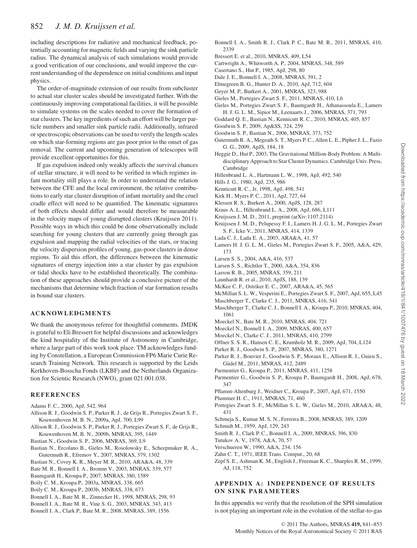including descriptions for radiative and mechanical feedback, potentially accounting for magnetic fields and varying the sink particle radius. The dynamical analysis of such simulations would provide a good verification of our conclusions, and would improve the current understanding of the dependence on initial conditions and input physics.

The order-of-magnitude extension of our results from subcluster to actual star cluster scales should be investigated further. With the continuously improving computational facilities, it will be possible to simulate systems on the scales needed to cover the formation of star clusters. The key ingredients of such an effort will be larger particle numbers and smaller sink particle radii. Additionally, infrared or spectroscopic observations can be used to verify the length-scales on which star-forming regions are gas poor prior to the onset of gas removal. The current and upcoming generation of telescopes will provide excellent opportunities for this.

If gas expulsion indeed only weakly affects the survival chances of stellar structure, it will need to be verified in which regimes infant mortality still plays a role. In order to understand the relation between the CFE and the local environment, the relative contributions to early star cluster disruption of infant mortality and the cruel cradle effect will need to be quantified. The kinematic signatures of both effects should differ and would therefore be measurable in the velocity maps of young disrupted clusters (Kruijssen 2011). Possible ways in which this could be done observationally include searching for young clusters that are currently going through gas expulsion and mapping the radial velocities of the stars, or tracing the velocity dispersion profiles of young, gas-poor clusters in dense regions. To aid this effort, the differences between the kinematic signatures of energy injection into a star cluster by gas expulsion or tidal shocks have to be established theoretically. The combination of these approaches should provide a conclusive picture of the mechanisms that determine which fraction of star formation results in bound star clusters.

# **ACKNOWLEDGMENTS**

We thank the anonymous referee for thoughtful comments. JMDK is grateful to Eli Bressert for helpful discussions and acknowledges the kind hospitality of the Institute of Astronomy in Cambridge, where a large part of this work took place. TM acknowledges funding by Constellation, a European Commission FP6 Marie Curie Research Training Network. This research is supported by the Leids Kerkhoven-Bosscha Fonds (LKBF) and the Netherlands Organization for Scientic Research (NWO), grant 021.001.038.

# **REFERENCES**

- Adams F. C., 2000, ApJ, 542, 964
- Allison R. J., Goodwin S. P., Parker R. J., de Grijs R., Portegies Zwart S. F., Kouwenhoven M. B. N., 2009a, ApJ, 700, L99
- Allison R. J., Goodwin S. P., Parker R. J., Portegies Zwart S. F., de Grijs R., Kouwenhoven M. B. N., 2009b, MNRAS, 395, 1449
- Bastian N., Goodwin S. P., 2006, MNRAS, 369, L9
- Bastian N., Ercolano B., Gieles M., Rosolowsky E., Scheepmaker R. A., Gutermuth R., Efremov Y., 2007, MNRAS, 379, 1302
- Bastian N., Covey K. R., Meyer M. R., 2010, ARA&A, 48, 339
- Bate M. R., Bonnell I. A., Bromm V., 2003, MNRAS, 339, 577
- Baumgardt H., Kroupa P., 2007, MNRAS, 380, 1589
- Boily C. M., Kroupa P., 2003a, MNRAS, 338, 665
- Boily C. M., Kroupa P., 2003b, MNRAS, 338, 673
- Bonnell I. A., Bate M. R., Zinnecker H., 1998, MNRAS, 298, 93
- Bonnell I. A., Bate M. R., Vine S. G., 2003, MNRAS, 343, 413
- Bonnell I. A., Clark P., Bate M. R., 2008, MNRAS, 389, 1556
- Bonnell I. A., Smith R. J., Clark P. C., Bate M. R., 2011, MNRAS, 410, 2339
- Bressert E. et al., 2010, MNRAS, 409, L54
- Cartwright A., Whitworth A. P., 2004, MNRAS, 348, 589
- Casertano S., Hut P., 1985, ApJ, 298, 80
- Dale J. E., Bonnell I. A., 2008, MNRAS, 391, 2
- Elmegreen B. G., Hunter D. A., 2010, ApJ, 712, 604
- Geyer M. P., Burkert A., 2001, MNRAS, 323, 988
- Gieles M., Portegies Zwart S. F., 2011, MNRAS, 410, L6
- Gieles M., Portegies Zwart S. F., Baumgardt H., Athanassoula E., Lamers H. J. G. L. M., Sipior M., Leenaarts J., 2006, MNRAS, 371, 793
- Goddard Q. E., Bastian N., Kennicutt R. C., 2010, MNRAS, 405, 857
- Goodwin S. P., 2009, Ap&SS, 324, 259
- Goodwin S. P., Bastian N., 2006, MNRAS, 373, 752
- Gutermuth R. A., Megeath S. T., Myers P. C., Allen L. E., Pipher J. L., Fazio G. G., 2009, ApJS, 184, 18
- Heggie D., Hut P., 2003, The Gravitational Million-Body Problem: A Multidisciplinary Approach to Star Cluster Dynamics. Cambridge Univ. Press, Cambridge
- Hillenbrand L. A., Hartmann L. W., 1998, ApJ, 492, 540
- Hills J. G., 1980, ApJ, 235, 986
- Kennicutt R. C., Jr, 1998, ApJ, 498, 541
- Kirk H., Myers P. C., 2011, ApJ, 727, 64
- Klessen R. S., Burkert A., 2000, ApJS, 128, 287
- Kraus A. L., Hillenbrand L. A., 2008, ApJ, 686, L111
- Kruijssen J. M. D., 2011, preprint (arXiv:1107.2114)
- Kruijssen J. M. D., Pelupessy F. I., Lamers H. J. G. L. M., Portegies Zwart S. F., Icke V., 2011, MNRAS, 414, 1339
- Lada C. J., Lada E. A., 2003, ARA&A, 41, 57
- Lamers H. J. G. L. M., Gieles M., Portegies Zwart S. F., 2005, A&A, 429, 173
- Larsen S. S., 2004, A&A, 416, 537
- Larsen S. S., Richtler T., 2000, A&A, 354, 836
- Larson R. B., 2005, MNRAS, 359, 211
- Launhardt R. et al., 2010, ApJS, 188, 139
- McKee C. F., Ostriker E. C., 2007, ARA&A, 45, 565
- McMillan S. L. W., Vesperini E., Portegies Zwart S. F., 2007, ApJ, 655, L45
- Maschberger T., Clarke C. J., 2011, MNRAS, 416, 541
- Maschberger T., Clarke C. J., Bonnell I. A., Kroupa P., 2010, MNRAS, 404, 1061
- Moeckel N., Bate M. R., 2010, MNRAS, 404, 721
- Moeckel N., Bonnell I. A., 2009, MNRAS, 400, 657
- Moeckel N., Clarke C. J., 2011, MNRAS, 410, 2799
- Offner S. S. R., Hansen C. E., Krumholz M. R., 2009, ApJ, 704, L124
- Parker R. J., Goodwin S. P., 2007, MNRAS, 380, 1271
- Parker R. J., Bouvier J., Goodwin S. P., Moraux E., Allison R. J., Guieu S., Güdel M., 2011, MNRAS, 412, 2489
- Parmentier G., Kroupa P., 2011, MNRAS, 411, 1258
- Parmentier G., Goodwin S. P., Kroupa P., Baumgardt H., 2008, ApJ, 678, 347
- Pflamm-Altenburg J., Weidner C., Kroupa P., 2007, ApJ, 671, 1550

Plummer H. C., 1911, MNRAS, 71, 460

- Portegies Zwart S. F., McMillan S. L. W., Gieles M., 2010, ARA&A, 48, 431
- Schmeja S., Kumar M. S. N., Ferreira B., 2008, MNRAS, 389, 1209
- Schmidt M., 1959, ApJ, 129, 243
- Smith R. J., Clark P. C., Bonnell I. A., 2009, MNRAS, 396, 830
- Tutukov A. V., 1978, A&A, 70, 57
- Verschueren W., 1990, A&A, 234, 156
- Zahn C. T., 1971, IEEE Trans. Comput., 20, 68
- Zepf S. E., Ashman K. M., English J., Freeman K. C., Sharples R. M., 1999, AJ, 118, 752

### **APPENDIX A: INDEPENDENCE OF RESULTS ON SINK PARAMETERS**

In this appendix we verify that the resolution of the SPH simulation is not playing an important role in the evolution of the stellar-to-gas